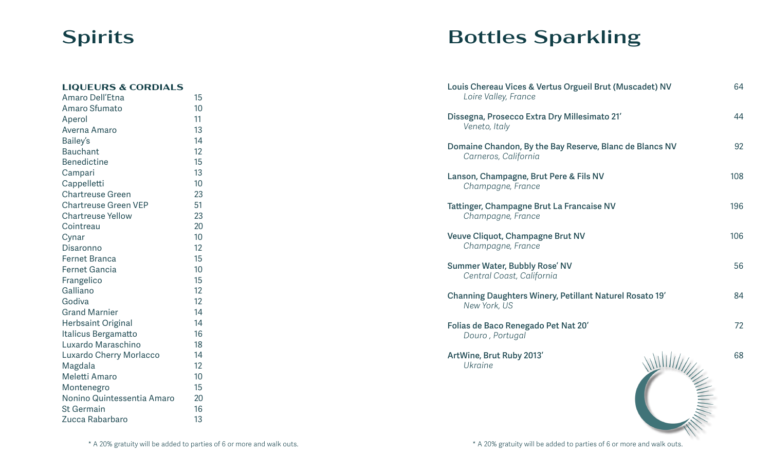### Spirits

#### **LIQUEURS & CORDIALS** Amaro Dell'Etna 15 Amaro Sfumato **10** Aperol 11 Averna Amaro 13 Bailey's 14 Bauchant 12 Benedictine 15 Campari 13 Cappelletti 10 Chartreuse Green 23 Chartreuse Green VEP 51 Chartreuse Yellow 23 Cointreau 20 Cynar 10 Disaronno 12 Fernet Branca 15 Fernet Gancia 10 Frangelico 15 Galliano 12 Godiva 12 Grand Marnier 14 Herbsaint Original 14 Italicus Bergamatto 16 Luxardo Maraschino 18 Luxardo Cherry Morlacco 14 Magdala 12 Meletti Amaro 10 Montenegro 15 Nonino Quintessentia Amaro 20 St Germain 16 Zucca Rabarbaro 13

# Bottles Sparkling

| Louis Chereau Vices & Vertus Orgueil Brut (Muscadet) NV<br>Loire Valley, France | 64  |
|---------------------------------------------------------------------------------|-----|
| Dissegna, Prosecco Extra Dry Millesimato 21'<br>Veneto, Italy                   | 44  |
| Domaine Chandon, By the Bay Reserve, Blanc de Blancs NV<br>Carneros, California | 92  |
| Lanson, Champagne, Brut Pere & Fils NV<br>Champagne, France                     | 108 |
| Tattinger, Champagne Brut La Francaise NV<br>Champagne, France                  | 196 |
| Veuve Cliquot, Champagne Brut NV<br>Champagne, France                           | 106 |
| <b>Summer Water, Bubbly Rose' NV</b><br>Central Coast, California               | 56  |
| Channing Daughters Winery, Petillant Naturel Rosato 19'<br>New York, US         | 84  |
| Folias de Baco Renegado Pet Nat 20'<br>Douro, Portugal                          | 72  |
| ArtWine, Brut Ruby 2013'<br><b>Ukraine</b>                                      | 68  |
|                                                                                 |     |

\* A 20% gratuity will be added to parties of 6 or more and walk outs. <br>\* A 20% gratuity will be added to parties of 6 or more and walk outs.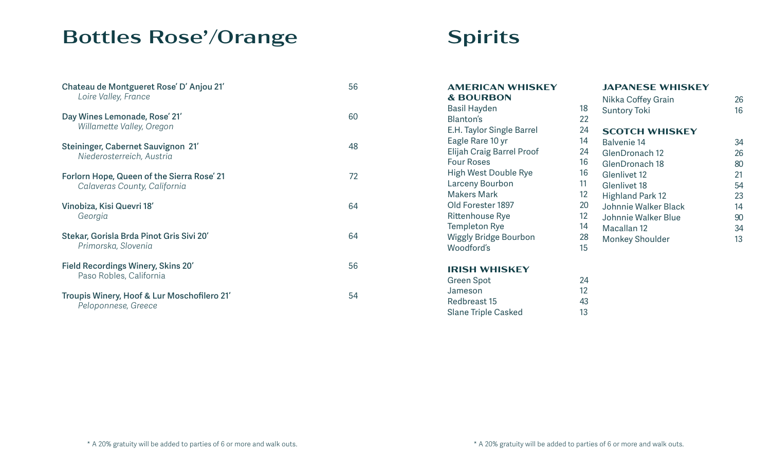# Bottles Rose'/Orange

| Chateau de Montgueret Rose' D'Anjou 21'<br>Loire Valley, France            | 56 |
|----------------------------------------------------------------------------|----|
| Day Wines Lemonade, Rose' 21'<br>Willamette Valley, Oregon                 | 60 |
| <b>Steininger, Cabernet Sauvignon 21'</b><br>Niederosterreich, Austria     | 48 |
| Forlorn Hope, Queen of the Sierra Rose' 21<br>Calaveras County, California | 72 |
| Vinobiza, Kisi Quevri 18'<br>Georgia                                       | 64 |
| Stekar, Gorisla Brda Pinot Gris Sivi 20'<br>Primorska, Slovenia            | 64 |
| Field Recordings Winery, Skins 20'<br>Paso Robles, California              | 56 |
| Troupis Winery, Hoof & Lur Moschofilero 21'<br>Peloponnese, Greece         | 54 |

## Spirits

| <b>AMERICAN WHISKEY</b>          |    | <b>JAPANESE WHISKEY</b> |    |
|----------------------------------|----|-------------------------|----|
| <b>&amp; BOURBON</b>             |    | Nikka Coffey Grain      | 26 |
| <b>Basil Hayden</b>              | 18 | <b>Suntory Toki</b>     | 16 |
| <b>Blanton's</b>                 | 22 |                         |    |
| E.H. Taylor Single Barrel        | 24 | <b>SCOTCH WHISKEY</b>   |    |
| Eagle Rare 10 yr                 | 14 | <b>Balvenie 14</b>      | 34 |
| <b>Elijah Craig Barrel Proof</b> | 24 | GlenDronach 12          | 26 |
| <b>Four Roses</b>                | 16 | GlenDronach 18          | 80 |
| <b>High West Double Rye</b>      | 16 | Glenlivet 12            | 21 |
| Larceny Bourbon                  | 11 | Glenlivet 18            | 54 |
| <b>Makers Mark</b>               | 12 | <b>Highland Park 12</b> | 23 |
| Old Forester 1897                | 20 | Johnnie Walker Black    | 14 |
| <b>Rittenhouse Rye</b>           | 12 | Johnnie Walker Blue     | 90 |
| <b>Templeton Rye</b>             | 14 | Macallan 12             | 34 |
| <b>Wiggly Bridge Bourbon</b>     | 28 | <b>Monkey Shoulder</b>  | 13 |
| Woodford's                       | 15 |                         |    |
| <b>IRISH WHISKEY</b>             |    |                         |    |

| 24 |
|----|
| 12 |
| 43 |
| 13 |
|    |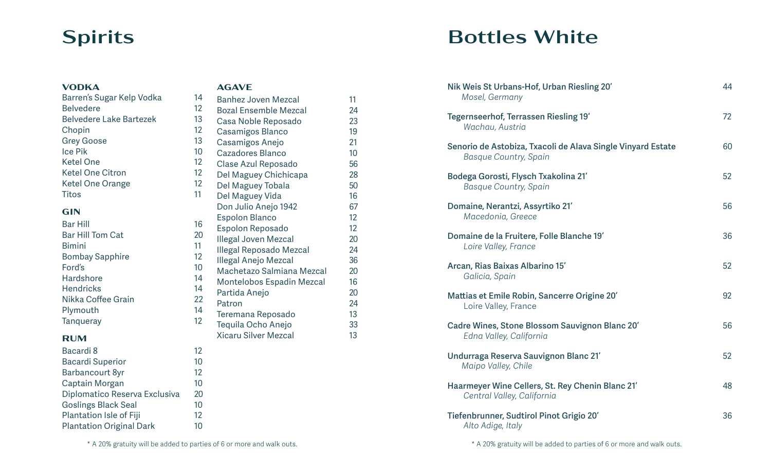### **Spirits**

#### **VODKA**

#### Barren's Sugar Kelp Vodka 14 Belvedere Belvedere Lake Bartezek 13 Chopin **Grey Goose** Ice Pik Ketel One Ketel One Citron Ketel One Orange **Titos**

### **GIN**

| 16 |
|----|
| 20 |
| 11 |
| 12 |
| 10 |
| 14 |
| 14 |
| 22 |
| 14 |
| 12 |
|    |

#### **RUM**

| Bacardi 8                       | 12 |
|---------------------------------|----|
| <b>Bacardi Superior</b>         | 10 |
| <b>Barbancourt 8yr</b>          | 12 |
| Captain Morgan                  | 10 |
| Diplomatico Reserva Exclusiva   | 20 |
| <b>Goslings Black Seal</b>      | 10 |
| Plantation Isle of Fiji         | 12 |
| <b>Plantation Original Dark</b> | 1Ω |
|                                 |    |

#### **AGAVE**

| 14 | <b>Banhez Joven Mezcal</b>   | 11 |
|----|------------------------------|----|
| 12 | <b>Bozal Ensemble Mezcal</b> | 24 |
| 13 | Casa Noble Reposado          | 23 |
| 12 | Casamigos Blanco             | 19 |
| 13 | Casamigos Anejo              | 21 |
| 10 | Cazadores Blanco             | 10 |
| 12 | Clase Azul Reposado          | 56 |
| 12 | Del Maguey Chichicapa        | 28 |
| 12 | Del Maguey Tobala            | 50 |
| 11 | Del Maguey Vida              | 16 |
|    | Don Julio Anejo 1942         | 67 |
|    | <b>Espolon Blanco</b>        | 12 |
| 16 | Espolon Reposado             | 12 |
| 20 | <b>Illegal Joven Mezcal</b>  | 20 |
| 11 | Illegal Reposado Mezcal      | 24 |
| 12 | <b>Illegal Anejo Mezcal</b>  | 36 |
| 10 | Machetazo Salmiana Mezcal    | 20 |
| 14 | Montelobos Espadin Mezcal    | 16 |
| 14 | Partida Anejo                | 20 |
| 22 | Patron                       | 24 |
| 14 | Teremana Reposado            | 13 |
| 12 | Tequila Ocho Anejo           | 33 |
|    | Xicaru Silver Mezcal         | 13 |

# Bottles White

| Nik Weis St Urbans-Hof, Urban Riesling 20'<br>Mosel, Germany                                | 44 |
|---------------------------------------------------------------------------------------------|----|
| Tegernseerhof, Terrassen Riesling 19'<br>Wachau, Austria                                    | 72 |
| Senorio de Astobiza, Txacoli de Alava Single Vinyard Estate<br><b>Basque Country, Spain</b> | 60 |
| Bodega Gorosti, Flysch Txakolina 21'<br><b>Basque Country, Spain</b>                        | 52 |
| Domaine, Nerantzi, Assyrtiko 21'<br>Macedonia, Greece                                       | 56 |
| Domaine de la Fruitere, Folle Blanche 19'<br>Loire Valley, France                           | 36 |
| Arcan, Rias Baixas Albarino 15'<br>Galicia, Spain                                           | 52 |
| Mattias et Emile Robin, Sancerre Origine 20'<br>Loire Valley, France                        | 92 |
| Cadre Wines, Stone Blossom Sauvignon Blanc 20'<br>Edna Valley, California                   | 56 |
| Undurraga Reserva Sauvignon Blanc 21'<br>Maipo Valley, Chile                                | 52 |
| Haarmeyer Wine Cellers, St. Rey Chenin Blanc 21'<br>Central Valley, California              | 48 |
| Tiefenbrunner, Sudtirol Pinot Grigio 20'<br>Alto Adige, Italy                               | 36 |

\* A 20% gratuity will be added to parties of 6 or more and walk outs. <br>\* A 20% gratuity will be added to parties of 6 or more and walk outs.